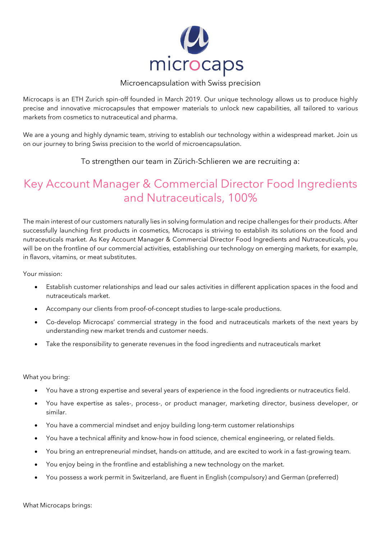

## Microencapsulation with Swiss precision

Microcaps is an ETH Zurich spin-off founded in March 2019. Our unique technology allows us to produce highly precise and innovative microcapsules that empower materials to unlock new capabilities, all tailored to various markets from cosmetics to nutraceutical and pharma.

We are a young and highly dynamic team, striving to establish our technology within a widespread market. Join us on our journey to bring Swiss precision to the world of microencapsulation.

To strengthen our team in Zürich-Schlieren we are recruiting a:

## Key Account Manager & Commercial Director Food Ingredients and Nutraceuticals, 100%

The main interest of our customers naturally lies in solving formulation and recipe challenges for their products. After successfully launching first products in cosmetics, Microcaps is striving to establish its solutions on the food and nutraceuticals market. As Key Account Manager & Commercial Director Food Ingredients and Nutraceuticals, you will be on the frontline of our commercial activities, establishing our technology on emerging markets, for example, in flavors, vitamins, or meat substitutes.

Your mission:

- Establish customer relationships and lead our sales activities in different application spaces in the food and nutraceuticals market.
- Accompany our clients from proof-of-concept studies to large-scale productions.
- Co-develop Microcaps' commercial strategy in the food and nutraceuticals markets of the next years by understanding new market trends and customer needs.
- Take the responsibility to generate revenues in the food ingredients and nutraceuticals market

What you bring:

- You have a strong expertise and several years of experience in the food ingredients or nutraceutics field.
- You have expertise as sales-, process-, or product manager, marketing director, business developer, or similar.
- You have a commercial mindset and enjoy building long-term customer relationships
- You have a technical affinity and know-how in food science, chemical engineering, or related fields.
- You bring an entrepreneurial mindset, hands-on attitude, and are excited to work in a fast-growing team.
- You enjoy being in the frontline and establishing a new technology on the market.
- You possess a work permit in Switzerland, are fluent in English (compulsory) and German (preferred)